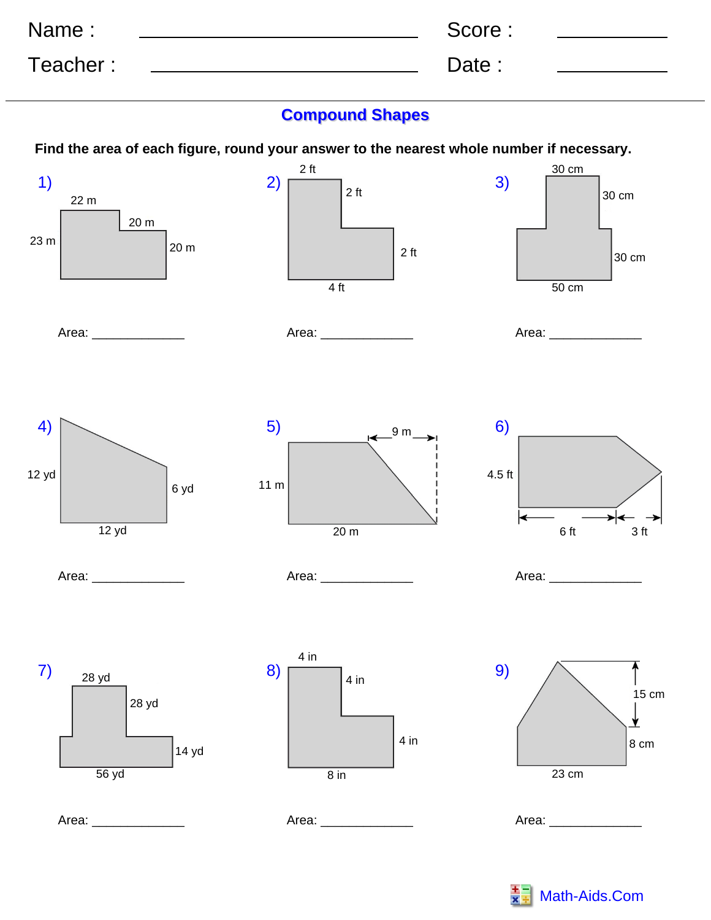| Name:    | Score : |  |
|----------|---------|--|
| Teacher: | Date:   |  |

## **Compound Shapes**

**Find the area of each figure, round your answer to the nearest whole number if necessary.**